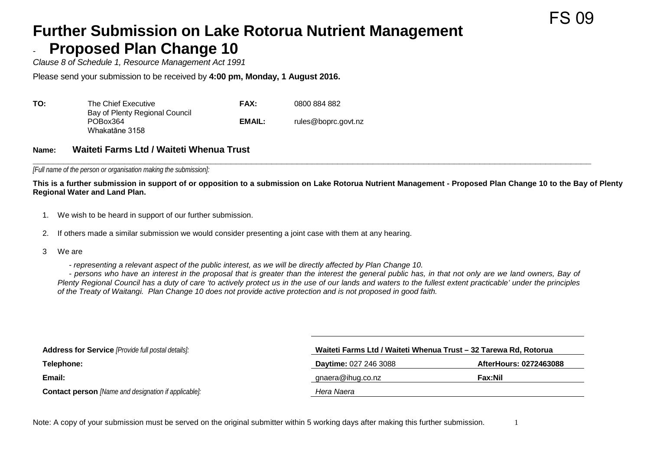## **Further Submission on Lake Rotorua Nutrient Management Proposed Plan Change 10**

*Clause 8 of Schedule 1, Resource Management Act 1991*

Please send your submission to be received by **4:00 pm, Monday, 1 August 2016.**

| ΤΟ: | The Chief Executive                                          | FAX:   | 0800 884 882        |
|-----|--------------------------------------------------------------|--------|---------------------|
|     | Bay of Plenty Regional Council<br>POBox364<br>Whakatāne 3158 | EMAIL: | rules@boprc.govt.nz |

## **Name: Waiteti Farms Ltd / Waiteti Whenua Trust**

**\_\_\_\_\_\_\_\_\_\_\_\_\_\_\_\_\_\_\_\_\_\_\_\_\_\_\_\_\_\_\_\_\_\_\_\_\_\_\_\_\_\_\_\_\_\_\_\_\_\_\_\_\_\_\_\_\_\_\_\_\_\_\_\_\_\_\_\_\_\_\_\_\_\_\_\_\_\_\_\_\_\_\_\_\_\_\_\_\_\_\_\_\_\_\_\_\_\_\_\_\_\_\_\_\_\_\_\_\_\_** *[Full name of the person or organisation making the submission]:*

**This is a further submission in support of or opposition to a submission on Lake Rotorua Nutrient Management - Proposed Plan Change 10 to the Bay of Plenty Regional Water and Land Plan.**

FS 09

- 1. We wish to be heard in support of our further submission.
- 2. If others made a similar submission we would consider presenting a joint case with them at any hearing.
- 3 We are
	- *representing a relevant aspect of the public interest, as we will be directly affected by Plan Change 10.*

- *persons who have an interest in the proposal that is greater than the interest the general public has, in that not only are we land owners, Bay of Plenty Regional Council has a duty of care 'to actively protect us in the use of our lands and waters to the fullest extent practicable' under the principles of the Treaty of Waitangi. Plan Change 10 does not provide active protection and is not proposed in good faith.*

| <b>Address for Service</b> [Provide full postal details]:   | Waiteti Farms Ltd / Waiteti Whenua Trust - 32 Tarewa Rd, Rotorua |                        |
|-------------------------------------------------------------|------------------------------------------------------------------|------------------------|
| Telephone:                                                  | <b>Daytime: 027 246 3088</b>                                     | AfterHours: 0272463088 |
| Email:                                                      | gnaera@ihug.co.nz                                                | Fax:Nil                |
| <b>Contact person</b> [Name and designation if applicable]: | Hera Naera                                                       |                        |

Note: A copy of your submission must be served on the original submitter within 5 working days after making this further submission.